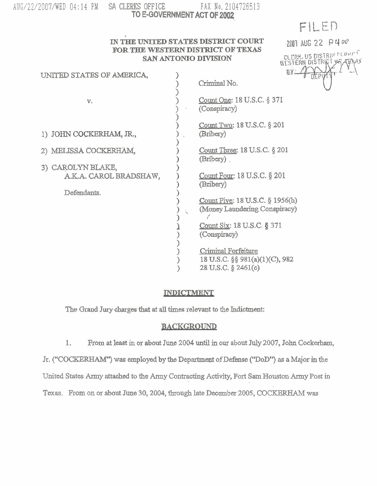| AUG/22/2007/WED 04:14 PM | -SA |
|--------------------------|-----|
|--------------------------|-----|

# CLERKS OFFICE FAX No. 2104726513 **TO E-GOVERNMENT ACT OF 2W,**

FILED

2007 AUG 22 P400

GLERK, US DISTRICTSOUT

#### **IN THE UNITED STATES DISTRICT COURT FOR THE WESTERN DISTRICT OF TEXAS SAN ANTONIO DIVISION**

| UNITED STATES OF AMERICA,                   | BX.                                                                          |
|---------------------------------------------|------------------------------------------------------------------------------|
|                                             | Criminal No.                                                                 |
| V.                                          | Count One: 18 U.S.C. § 371<br>(Conspiracy)                                   |
| 1) JOHN COCKERHAM, JR.,                     | Count Two: 18 U.S.C. § 201<br>(Bribery)                                      |
| 2) MELISSA COCKERHAM,                       | Count Three: 18 U.S.C. § 201<br>(Bribery).                                   |
| 3) CAROLYN BLAKE,<br>A.K.A. CAROL BRADSHAW, | Count Four: 18 U.S.C. § 201                                                  |
| Defendants.                                 | (Bribery)                                                                    |
|                                             | Count Five: 18 U.S.C. § 1956(h)<br>(Money Laundering Conspiracy)             |
|                                             | Count Six: 18 U.S.C. § 371<br>(Conspiracy)                                   |
|                                             | Criminal Forfeiture<br>18 U.S.C. §§ 981(a)(1)(C), 982<br>28 U.S.C. § 2461(c) |

## **INDICTMENT**

The **Grand Jury charges** that at **all times** relevant **to** the Indictment:

## **BACKGROUND**

1. From **at least** in **OX about** June 2004 until **in our about July 2007, John Cockerham,** 

Jr. **("COCI(ERHAh4") was employed by the Deparbnmt ofDefmse (?DoDY') as a Major** in the

**United States Army attached to** the **hy** Contracting **Activity, Fort Sam** Houston **Army Post** in

Texas. From on or about June 30, 2004, through late December 2005, COCKERHAM was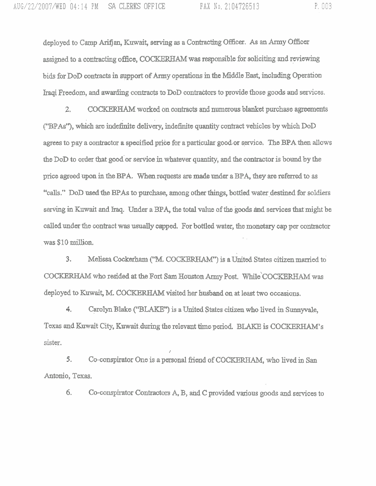deployed to Camp **Arifjan, Kuwait, serving** as **a** Contracting **Officer.** As an **Army** Officer **assigned** to **a** cmkacting office, **COCKBNUM was** responsible for soliciting **and** reviewing bids for DoD contracts in **sqport** of **Army** operations **in** the Middle **Bast, including** Operation Iraqi Freedom, and awarding contracts to DoD contractors to provide those goods and services.

 $2.$ **COCKESGWM** worked on contracts **and** numerous **blanket** purchase agreements **C'BPAs"),** which **am** indefinite **deli&,** indefinite quantity contrad **vehicles** by which DoD **apes** to **pay** a contractor **a** specified price for a **partictilax** good-or **service,** The **BPA** Wlen **allows**  the DoD to order that **good'or service** in **whatever quantity,** and the contractor is bound by the price **agreed** .upon in the BPA. When requests **are made under a BPA, they are** refmed **to** as "calls," DoD used the BPAs to purchase, among other things, bottled water destined for soldiers serving in Kuwait and Iraq. Under a BPA, the total value of the goods and services that might be called under the contract **was usually** capped. For bottled water, the monetary **cap** per contractor . **was \$1.0 &on.** 

3. **Melissa Cockexham** ("M. COcIcaFUUM") is a united States citizen **married** to COCKERHAM who **resided at the** Fort **Sam** Houston **Amry** Post. W~~~~'COCKERHAM was deployed to Kuwait, M. COCKERHAM visited her **husband** on at least **two occasions.** 

4. Carolyn **Blake ("73LAKE")is a** United **States citizen** who **lived** in **Sunnyvale, Texas and Kuwait** City, **Kuwait .during** the relevant time period. BLAKE **is COCKERHAM'S**  sister.

Co-conspirator **One** is **a personal** fjriend of **COCKERHAM,** who **lived** in **San**  5. Antonio, Texas.

/

*6.* Co-conspirator Contractors **A, B, and** C provided **various** goods **axld** services to

P. 003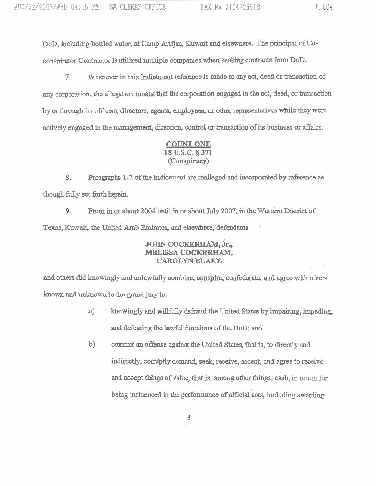DoD, including bottled water, at Camp Ardjan, Kuwait **and** elsewhere. The principal of Coconspirator Contractor B utilized multiple companies when seeking contracts from DoD.

**7. Whenever in this Indictment reference is made to any act, deed or transaction of** any corporation, the allegation **means** that the corporation **engaged** in the act, deed, or **transaction**  by or through its officers, directors, agents, employees, or other representatives while they were actively engaged in the management, direction, control or transaction of its business or affairs.

#### **COUNT ONE 18 U.S.C. 5 371 (Conspiracy)**

Paragraphs 1-7 of the Indictment are realleged and incorporated by reference as 8. though fully set forth herein.

9. From in or about 2004 until in or about July 2007, in the Western District of Texas, Kuwait, the United Arab Emirates, and elsewhere, defendants

## **JOHN COCKERHAM,** h., **MELISSA COCKERHAM, CAROLYN BLAKE'**

**and** others did howingly and **unlawfully** combine, *conspire,* **confederate, and agree** with others hown **and** unlmown to **the grand jury to;** 

- a) **knowingly and willfully defraud the United States by impairing, impeding,** and defeating the lawful functions of the DoD; and
- **b) commit** an offense **against** the United **States,** that is, to **directly and indireotly, wmiptly dernand, seek,** receive, accept, **and agree** to receive **and accept** Wgs **of value,** that **is,** *among* **other fbings, cash,** in return for **being** influmced **in** the performance of official 'acts, including **awarding**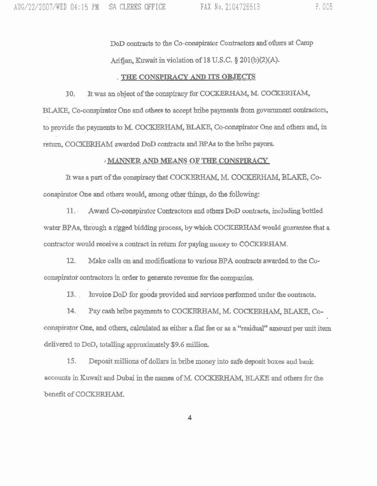**DoD** contracts to **the** Co-conspirator Contractors and'othexs at Camp **Arifj an,** Kuwait in violation of 1 **8 U.S.C. 8 201 @)(2)(A).** 

#### , **TIEZIE CONSPIRACY AND ITS OBJECTS**

10. It was an object of the conspiracy for COCKERHAM, M. COCKERHAM, BLAKE, Co-conspirator One and others to accept bribe payments from government contractors, to pro~de **the payments** to **M. COCKEW,** BLAKE, **Co-conspirator One** and others and, in *re-* **COCKERHAM awarded DoD** contracts and **BPAs** to **the bribe payors.** 

#### **MANNER AND MEANS OF THE CONSPIRACY**

It was a part of the conspiracy that COCKERHAM, M. COCKERHAM, BLAKE, Coconspirator One and others would, among other things, do **the** following:

1 1. . **Award** Co-conspirator Contractors **and** others **DoD** contracts, including **bottled**  water BPAs, through a rigged bidding process, by which COCKERHAM would guarantee that a contractor would receive a contract in return for paying money to COCKERHAM.

**12.** Make calls on 'and modifications to various **BPA** contraots **awarded** to the Coconspirator contractors in order to generate revenue for the companies.

13. Invoice DoD for goods provided and services performed under the contracts.

14. Pay cash bribe payments to COCKERHAM, M. COCKERHAM, BLAKE, Coconspiravr **One, and** others, **calculated as** either a **flat** ke or as a **'kesidual"** mount per unit item delivered to DoD, totalling approximately \$9.6 million.

15. **Deposit millions of dollars in bribe money into safe deposit boxes and bank** accounts in Kuwait and Dubai in the names of M. COCKERHAM, BLAKE and others for the **benefit** of COCKERHAM.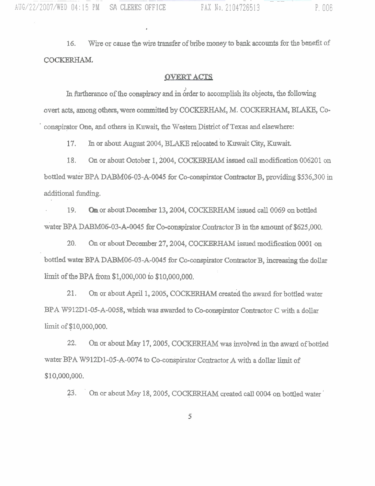**16.** Wire or **cause the** wire **transfer** of **bribe** money **to** bank **accounts** for the **benefit** of COCKERHAM.

#### **OVERT ACTS**

In furtherance of the conspiracy and in order to accomplish its objects, the following **overt acts,** among **others, were committed** by COCKam M. **COCRERHAM, BU,** Co-  $\alpha$  conspirator One, and others in Kuwait, the Western District of Texas and elsewhere:

**En** or about **August 2004,** BLAKE **relocated** .to **Kuwait City,** Kuwait. 17.

18. On or about October **1,2004, COCRaRHAM issued** call **modification 006201 on bottled water BPA DAl3M06-03-A-0045 for Co-conspirator** Contraoto~ **B, providing \$536,300** in additional funding,

19. **On or about December 13,2004,** COCKERHAM **issued** call 0069 on **bottled**  water BPA DABM06-03-A-0045 for Co-conspirator Contractor B in the amount of \$625,000.

**20. On** or **about December 27,2004, COCKBRHAM issued modification 0001 on**  bottled **water BPA DABM06-03-A-0045 for** Co-conspirator **Contractor B,** increasing the dollar lirnit of the BPA **from \$1,000,000** io **\$10,000,000.** 

21. **On ox about April 1,2005,** COCKERHAM **created** the **ayard for** bottled water **BPA W912D1-05-A-0058, which was awarded to Co-conspirator Contractor C with a dollar** linzit **of \$10,000,000.** 

**22.** On **or** about **May 17,2005, COcKEm was involved** in the award of bottled water BPA W912D1-05-A-0074 to Co-conspirator Contractor A with a dollar limit of \$10,000,000.

**23.** ' **On or** about **May 18,2005,** COCKBM **created call 0004** on bottled water '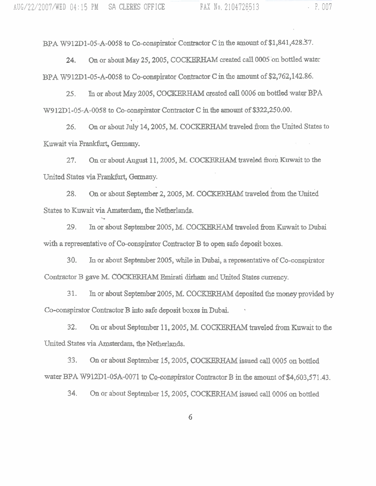On or about **May** 25,2005, **COCKBRHAM** created **call** 0005 'on bottled water 24. **BPA** W912D1-05-A-0058 to Co-conspirator Contractor C in **the** amount of \$2,762,142.86.

25. **h** or about May 2005, COCKERHAM created call 0006 on bottled water BPA **W9** lZD1-05-A-0058 **to** Co-conspirator Contractor C **in** the amount of \$322,250,00,

. . *26.* On or about July 14,2005, M. COCKEm **traveled &om the United States** to Kuwait via Frankfurt, Germany.

27. On or about August 11, 2005, M. COCKERHAM traveled from Kuwait to the United States via Frankfurt, Germany.

28. On or about September 2, 2005, M. COCKERHAM traveled from the United States to Kuwait via Amsterdam, **the** Netherlands. **\I** 

29. In or about **September** 2005, M, **COCKERHAM traveled** from Kuwait **to** Dubai **with** a **representative** of Co-conspirator Contractor **B** to open **safe deposit boxes.** 

30. **In or about September** 2005, **while** in Dubai, a representative of Co-conspirator Contractor B gave M. COCKERHAM Emirati dirham and United States currency.

**31.** In or about September 2005, M. COCKERHAM deposited the money provided by Co-conspirator Contractor **B** into **safe** deposit boxes **in** Dubai. \*

32. On or about September 11, 2005, M. COCKERHAM traveled from Kuwait to the United States via Amsterdam, the Netherlands.

**33.** On or **about September** 15,2005, COCKEW **issued** call 0005 **on bottled**  water BPA W912D1-05A-0071 to Co-conspirator Contractor B in the amount of \$4,603,571.43.

**34. O11** or about **September** 15,2005, COCICEW **issued call** 0006 on **bottIed**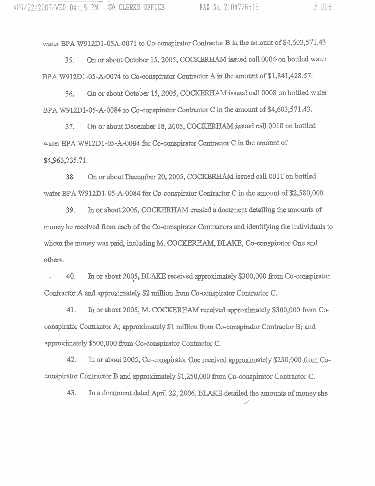water BPA W912D1-05A-0071 to Co-conspirator Contractor B in the amount of \$4,603,571.43.

**35.** ' On or about October 15,2005, **COCWRHAM issued** call 0004 on.bottled water BPA W912D1-05-A-0074 to Co-conspirator Contractor A in the amount of \$1,841,428.57.

On or about October 15, 2005, COCKERHAM issued call 0008 on bottled water 36. BPA W912D1-05-A-0084 to Co-conspirator Contractor C in the amount of \$4,603,571.43.

37. On or about December 18, 2005, COCKERHAM issued call 0010 on bottled water BPA W912D1-05-A-0084 for Co-conspirator Contractor C in the amount of \$4,963,735.71.

On or about December 20, 2005, COCKERHAM issued call 0011 on bottled 38. water BPA W912D1-05-A-0084 fbr Co-conspirator Contraotor C in the mount of \$2,580,000.

In or about 2005, COCKERHAM created a document detailing the amounts of 39. money he received from each of the Co-conspirator Contractors and identifying the individuals to whom the money was paid, including M. **COCKERKAM,** BLAKE, Co-consphator **One** and others.

. 40. Ixl or about **2015, BLAKB** received approximately \$300,000 **&om** Co-conspirator Contractor A and approximately \$2 million from Co-conspirator Contractor C.

41. In or about 2005, M. **COCKERHAM** received approximately \$300,000 from Coconspirator Contractor A; approximately \$1 million from Co-conspirator Contractor B; and approximately \$500,000 from Co-conspirator Contractor C.

42. In or about 2005, Co-conspirator One received approximately \$250,000 from Coconspirator Contractor **B and** qproximakly \$1,250,000 **from** Co-conspirator Contractor C.

**43.** In a document dated April 22,2006, BLAKE **detailed** the amomts of money she ,'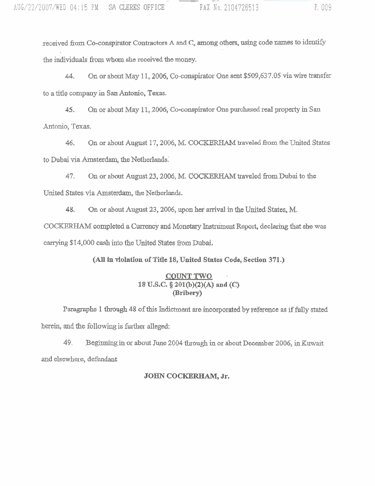**received** from **Co-conspirator Contractors A and C, among others, using code names to** idme the individuals from whom she received the money.

**44, On or about May** 11,2005, **Coconspirator One sent \$509,637.05 via wire** transfer **to a** title **company in San Antonio, Texas,** 

**On or about May 11,2006, Co-conspirator One purchased real property in San**  45. Antonio, **Texas.** 

46. On or about August 17, 2006, M. COCKERHAM traveled from the United States **to** Dubai via Amsterdam, **the Netherlimb:** 

47. **On or about August 23,2006, M.** COCKERHAM **traveled** fiom Dubai **to the United States via Amsterdam,** the **Netherlands.** 

48. **On or about August 23,2006, up011 hei arrival in the United States,** M. **COCKBRHAM completed a Currency and Monetary** Inetrbent **Report,** declaring that **she was**  carrying \$14,000 cash into the United States from Dubai.

*(All* **in violation of Title 18, United States Code, Section 371.)** 

## **,COUNT TWO,** . **18 U.S.C.. 8 201@)(2)(A) and (C) (Bribery)**

**Paragraphs 1** through **48 of this Indictment are incorporated by reference as** jffuIIy stated herein, and the following is further alleged:

49. Beginning in or about June 2004 through in or about December 2006, in Kuwait **and elsewhere, defendat** 

## **JOHN COCKEREAM, Jr.**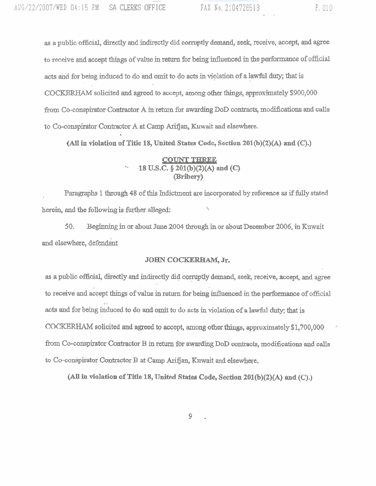**as** a **public** official, **directly and** indirectly did corruptly **demand,** seek, receive, **accept,** and **agree**  to receive **and** accept **.things** of value in return for **being** iduenced **h the** performance of official **acts abd** for being induced to do **and** omit to do acts in. violation **ofa** lawfut **duty;** that is **COD** solicited and **agreed** to accept, **among other things,** approximately \$900,000 from Co-conspirator Contractor A in return for awarding DoD contracts, modifications and calls to Co-conspirator Contractor A at Camp Arifjan, Kuwait and elsewhere.

**(N in violation of Title 18, United States Code, Section 201@)(2)(A) and (C).)** 

# **COUNT THREE** '. **.I8 U.S.C.** § **201(b)(2)(A) md (c) (Bribery)**

, Paragraphs 1 **though** 48 of this Indictment axe **incorporated** by **referme as if fully** stated \ berein, **md the following is fuxt.her alleged:** 

50, **Beginaing** in **or about** June **2004** through in or about **Deoember** 2006, **in Kuwait**  and elsewhere, defendant

#### **JOHN COCKERHAM, Jr.**

**as a** public **official,** directly **axid indirectly** did corruptly **demand,** seek, 'receive, **accept,** and agree to receive and accept things of value in return for being influenced in the performance of official acts and for being induced to do and omit to do acts in violation of a lawful duty; that is COCKERHAM solicited and agreed to accept, among other things, approximately \$1,700,000 from Co-conspirator Contractor B in return for awarding DoD contracts, modifications and calls to Co-conspirator Contractor **B** at Camp Arifjan, Kuwait and elsewhere.

**(All** in **violation of Title 18, United States Code, Section 20l(b)(Z)(A) and (9.)**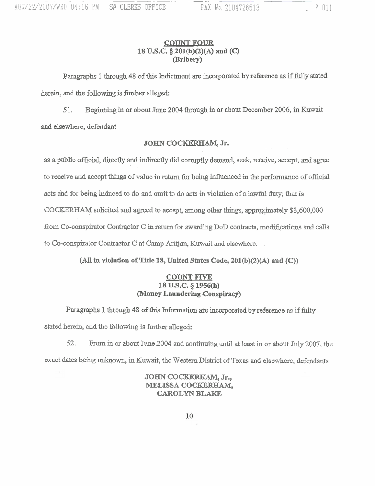## **,COUNT FOUR 1,8 U.S.C. 5 205@)(2)(A) and (C) (Bribery)**

Paragraphs 1 through 48 of this Indictment are incorporated by reference as if fully stated **herein, and the following is** fbrther **alleged:** 

51. Beginning in or about June 2004 through in or about December 2006, in Kuwait **and elsewhere, defendant** 

#### **JOHN COCKERHAM, Jr.**

**as a** public **official,** directly **and indirectly did corruptly** demand, **seek, receive, accept, and** agree to **receive and accept things of value in return for being influenced in the performance of official**  acts and for being induced to do and omit to do acts in violation of a lawful duty, that is COCKERHAM solicited and agreed to accept, among other things, approximately \$3,600,000 from Co-conspirator Contractor C in return for awarding DoD contracts, modifications and calls **to Co-conspixator Contractor C at Camp Arirjan, Kuwait** and **elsewhere.** .

*(All* **b vviolation of Title 18, United States Code, 201(b)(2)(A) and** *(0)* 

#### **COUNT FIVE 18 U.S.C.** *5* **1956(h) money Laundering Conspiracy)**

Paragraphs 1 through 48 of this Information are incorporated by reference as if fully stated herein, and the following is further alleged:

**52, From** in **or about June 2004** and **contipuing** until **at least in.** or **about July** 2007, the **exact** dates **being** unknown, **in Kuwait, the Western** District **of Texas** and **elsewhere, defendants** 

> **JOHN cocIE(ERRAM, Jr., MELISSA COCKERHAM, CAROLYN BLAKE**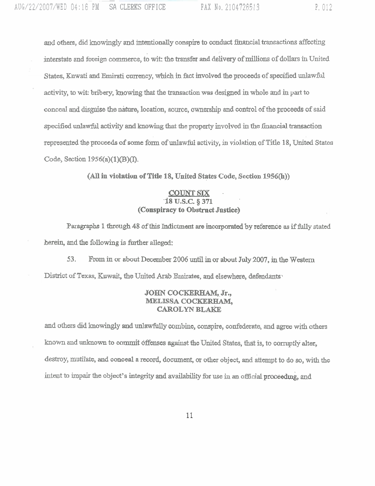and others, did knowingly and intentionally conspire to conduct financial transactions affecting interstate and foreign cornmace, to wit: the transfer **and** delivery of millions of dollars in United States, **Uwati and Emirati currency, which** in fact involved the proceeds of **speoiilied unlawftd**  activity, to wit: bribery, Imowhg **that the** transaction **was designed in whole** and in. **part** to conceal **and disguise the** nature, location, source, ownership and control of the **proceeds of** said specified unlawful activity and knowing that the property involved in the financial transaction represented the proceeds of some form of unlawful activity, in violation of Title 18, United States Code, Section 1956(a)(1)(B)(I).

*(All* **in violation of Title 18, United States Code, Section 1956(h))** 

## **COUNT SIX**

## **18 U.S.C. § 371 (Conspiracy to Obstruct Justice)**

Paragraphs 1 **through** 48 of this **Indictment are** incorporated by **referentie** as if **fully** stated herein, **and** the following is further **alleged:** 

**53.** From in or about **December** 2006 until in or **about** July 2007, in the Westem District of **Texas, Kuwait,** the United Arab **Emirates, and elsewhwe, defmdaxlts~** 

#### **JOHN COCKJERHAM, Jr., MELISSA COCKERHAM, CAROLYN BLAKE**

**and** othexs did knowingly **and unlawfully** oombine, conspire, confederate, and agree with others known and unknown to **cornmit offenses against** the United States, that is, to corruptly alter, destroy, mutilate, and conceal a record, document, or other object, and attempt to do so, with the intent to impair the object's integrity and availability for use in an official proceeding, and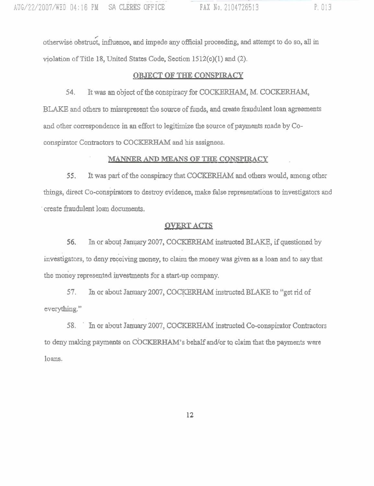/ othcrwisi obstruct, influence, **and** impede *any* official proceeding, **and** attempt m do so, **all in**  vjolation of Title 18, United States Code, **Section** 1512(c)(l) and (2).

#### **OBJECT OF THE CONSPIRACY**

**54.** It **was** an object of the conspiracy for COCIKERHAM, M. **COCKERHAM,**  BLAKE and others to misrepresent the source of funds, and create fraudulent loan agreements and other correspondence in an effort to legitimize the sowce of payments made by Coconspirator Contra~toxs to **COCKERHAM and** his assignees.

## **h!WNNER** AND **MEANS OF THE CONSPIRACY**

55. It was part of the conspiracy that COCKERHAM and others would, among other **things,** direct CO-conspirators to destroy evidence, make **false** representations to investigators and ' create **fiaudu1ent loan documents,** 

## **OVERT ACTS**

56. In or about January 2007, COCKERHAM instructed BLAKE, if questioned by investigators, to deny receiving money, to claim the money was given as a loan and to say that the money represented investments for a start-up company.

57. In or about January 2007, COCKERHAM instructed BLAKE to "get rid of everything."

58. ' **fil** or about January 2007, COCKEW **instructed** Co-conspirator Contractors to deny making payments on COCKERHAM's behalf and/or to claim that the payments were **loans.** 

12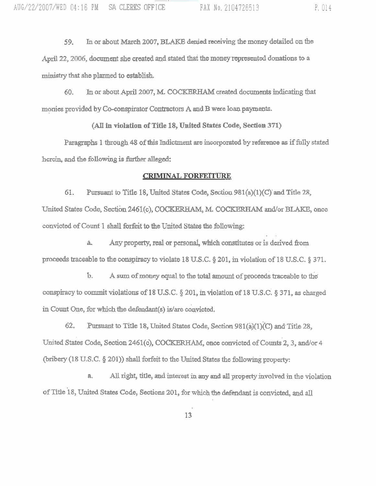**59. In** or about **March** 2007, BLAKl3 denied receiving the money detailed on the April 22, 2006, document she created and stated that the money represented donations to a ministry that she planned to establish.

60. **In** or about **April** 2007, M. COCKERHAM **created** documents indicating that monies provided by Co-conspirator Contractors A and B were loan payments.

#### *(All* **in violation of Title 18, United States Code, Section. 371)**

**Paragraphs** 1 though 48 of **this** Indictment are incorporated by reference as if fully **stated**  herein, **and** the **following is** fiwther **alleged:** 

#### **CRIMINAL FORFEITURE**

61. **Pursuant** to Title 18, United States Code, **Section** 981(a)(l)(C)' and Title 28, United States Code, Section 2461(c), COCKERHAM, M. COCKERHAM and/or BLAKE, once convicted of Count 1 shall forfeit to the United States the following:

**a. Any property, real** or personal, **which** constitutes or is derived fiom proceeds traceable to the **conspiracy** to violate 18 **U.S.C. 5** 201, in violation of 1 8 U.S.C. *5* **371.** 

. .

b. A sum of money **equal** to the total **mount** of proceeds traceable to the **conspiracy** to commit **violations** of 18 **U,S.C,** *5* 201, in violation **of** 18 U,S.C; **9** 371, as charged in Count One, for which the defendant(s) is/are convicted.

62. Pursuant to Title 18, United States Code, Section 98 **l(a)(ljo and**Title 28, United States Code, Section 2461(c), COCKERHAM, once convicted of Counts 2, 3, and/or 4 **(bribery (1 8 U.S.C. 5** 201)) **shall** forfeit to the United States the following property:

**a. AN right,** title, **and** interest in *any* and **all property involved** in the violation of Title 18, United States Code, Sections 201, for which the defendant is convicted, and all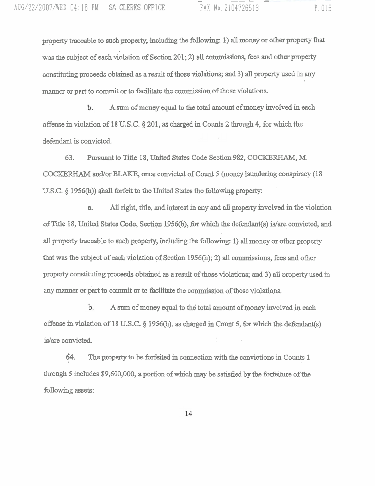property **traceable to** such **property, including the** following: I) **a31 money** or other property that was the subject of each violation of Section 201; 2) all commissions, fees and other property constituting proceeds **obtained** as a result of those **viola.tions; and 3) all** property **used** in **any**  manner or **part** to **commit** or to facilitate the **wmmission** of those violations.

**A surn** of money equal **to the** total amount of money **involved** in **each**  Ъ. offense in violation of 18 **U.S,C. 5** 201, as charged in Counts 2 **through** 4, for wbich the defendant is convicted.

**63.** Pursuant to Title 18, United States Code Section 982, COCKERHAM, M. COCKERHAM and/or BLAKE, once convicted of Count 5 (money laundering conspiracy (18) **U.S.C. § 1956(h)) shall forfeit to the United States the <b>following property:** 

**a. All right,** title, **and** interest **in any** and **aJ1 property** involved **in the** violation of Title 18, **United States Code,** Section **1956(1i),** fix which **the** defendant(s) **is/are convicted, and all property** traceable to such **property,** including the foIlowing I) **all** money **or** other property that **was** the **subject** of **each** violation of **Section 1956(h);** 2) **all** commissions, **fees and** other property constituting proceeds obtained as a result of those violations; and 3) all property used in any manner or part to commit or to facilitate the commission of those violations.

**A sum** of **money equal** to **the** total, **amount** of **money** involved **in** each b. offense in violation of 18 U.S.C. § 1956(h), as charged in Count 5, for which the defendant(s) is/are convicted.

**64.** The property to be forfeited in connection with the convictions in Counts 1 through 5 includes \$9,600,000, a portion of which may be satisfied by the forfeiture of the following assets: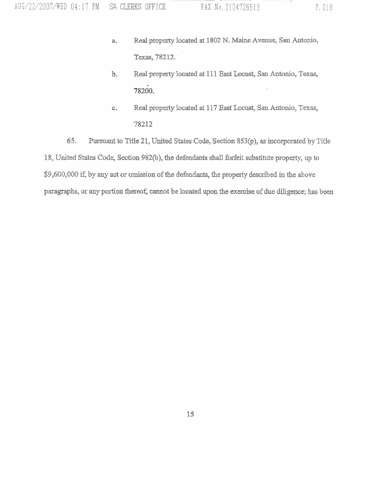- Real **property** located at 1802 N. Maine Avenue, **San** Antonio, а. **Texas,** 78212.
- $b.$ Real property located **at** 11 1 East **Locust,** San Antonio, Texas, 78200.
- Real property located at 1 17 East Locust, San Antonio, Texas,  $\mathbf{C}$ 78212

**65.** Pursuant to Title 21, United States **.Code,** Section **853(p),** as incorporated by Title 18, United States Code, **Section** 982@), the defendants sbaU forkit substitute property, up to \$9,600,000 if, by any act or omission of the defendants, the property described in the above **paragraphs,** or any portion **thereof,** cannot be located upon the **exercise. of due diligence; has** been